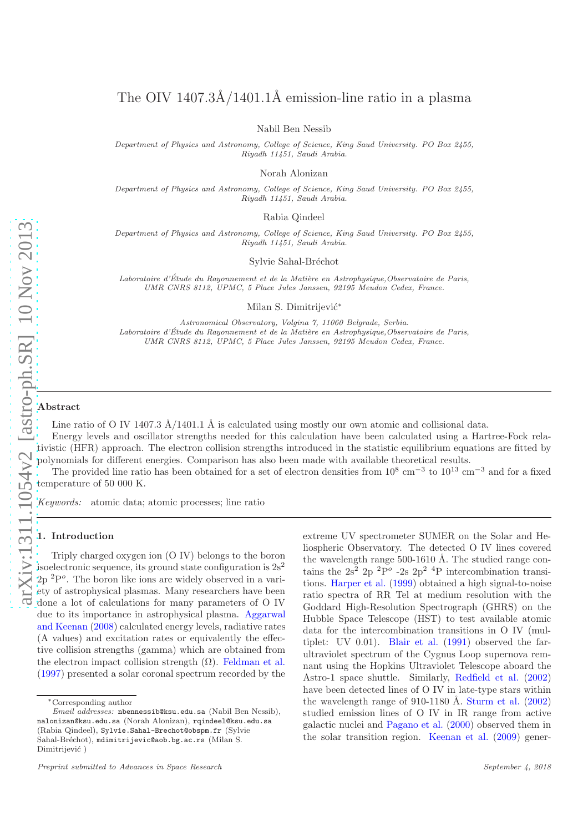# The OIV  $1407.3\AA/1401.1\AA$  emission-line ratio in a plasma

Nabil Ben Nessib

Department of Physics and Astronomy, College of Science, King Saud University. PO Box 2455, Riyadh 11451, Saudi Arabia.

Norah Alonizan

Department of Physics and Astronomy, College of Science, King Saud University. PO Box 2455, Riyadh 11451, Saudi Arabia.

Rabia Qindeel

Department of Physics and Astronomy, College of Science, King Saud University. PO Box 2455, Riyadh 11451, Saudi Arabia.

Sylvie Sahal-Bréchot

Laboratoire d'Étude du Rayonnement et de la Matière en Astrophysique, Observatoire de Paris, UMR CNRS 8112, UPMC, 5 Place Jules Janssen, 92195 Meudon Cedex, France.

Milan S. Dimitrijević<sup>\*</sup>

Astronomical Observatory, Volgina 7, 11060 Belgrade, Serbia. Laboratoire d'Étude du Rayonnement et de la Matière en Astrophysique, Observatoire de Paris, UMR CNRS 8112, UPMC, 5 Place Jules Janssen, 92195 Meudon Cedex, France.

# Abstract

Line ratio of O IV 1407.3  $\AA/1401.1 \AA$  is calculated using mostly our own atomic and collisional data.

Energy levels and oscillator strengths needed for this calculation have been calculated using a Hartree-Fock relativistic (HFR) approach. The electron collision strengths introduced in the statistic equilibrium equations are fitted by polynomials for different energies. Comparison has also been made with available theoretical results.

The provided line ratio has been obtained for a set of electron densities from  $10^8 \text{ cm}^{-3}$  to  $10^{13} \text{ cm}^{-3}$  and for a fixed temperature of 50 000 K.

Keywords: atomic data; atomic processes; line ratio

# 1. Introduction

Triply charged oxygen ion (O IV) belongs to the boron isoelectronic sequence, its ground state configuration is  $2s^2$  $2p^{2}P^{o}$ . The boron like ions are widely observed in a variety of astrophysical plasmas. Many researchers have been done a lot of calculations for many parameters of O IV due to its i[mportance in astrophysical plasma.](#page-2-0) Aggarwal and Keenan [\(2008](#page-2-0)) calculated energy levels, radiative rates (A values) and excitation rates or equivalently the effective collision strengths (gamma) which are obtained from the electron impact collision strength  $(\Omega)$ . [Feldman et al.](#page-2-1) [\(1997\)](#page-2-1) presented a solar coronal spectrum recorded by the

extreme UV spectrometer SUMER on the Solar and Heliospheric Observatory. The detected O IV lines covered the wavelength range  $500-1610$  Å. The studied range contains the  $2s^2$  2p  ${}^{2}P^{\circ}$  -2s  $2p^2$  <sup>4</sup>P intercombination transitions. [Harper et al.](#page-2-2) [\(1999\)](#page-2-2) obtained a high signal-to-noise ratio spectra of RR Tel at medium resolution with the Goddard High-Resolution Spectrograph (GHRS) on the Hubble Space Telescope (HST) to test available atomic data for the intercombination transitions in O IV (multiplet: UV 0.01). [Blair et al.](#page-2-3) [\(1991\)](#page-2-3) observed the farultraviolet spectrum of the Cygnus Loop supernova remnant using the Hopkins Ultraviolet Telescope aboard the Astro-1 space shuttle. Similarly, [Redfield et al.](#page-3-0) [\(2002](#page-3-0)) have been detected lines of O IV in late-type stars within the wavelength range of 910-1180 Å. [Sturm et al.](#page-3-1)  $(2002)$  $(2002)$ studied emission lines of O IV in IR range from active galactic nuclei and [Pagano et al.](#page-2-4) [\(2000\)](#page-2-4) observed them in the solar transition region. [Keenan et al.](#page-2-5) [\(2009\)](#page-2-5) gener-

<sup>∗</sup>Corresponding author

Email addresses: nbennessib@ksu.edu.sa (Nabil Ben Nessib), nalonizan@ksu.edu.sa (Norah Alonizan), rqindeel@ksu.edu.sa (Rabia Qindeel), Sylvie.Sahal-Brechot@obspm.fr (Sylvie Sahal-Bréchot), mdimitrijevic@aob.bg.ac.rs (Milan S. Dimitrijević)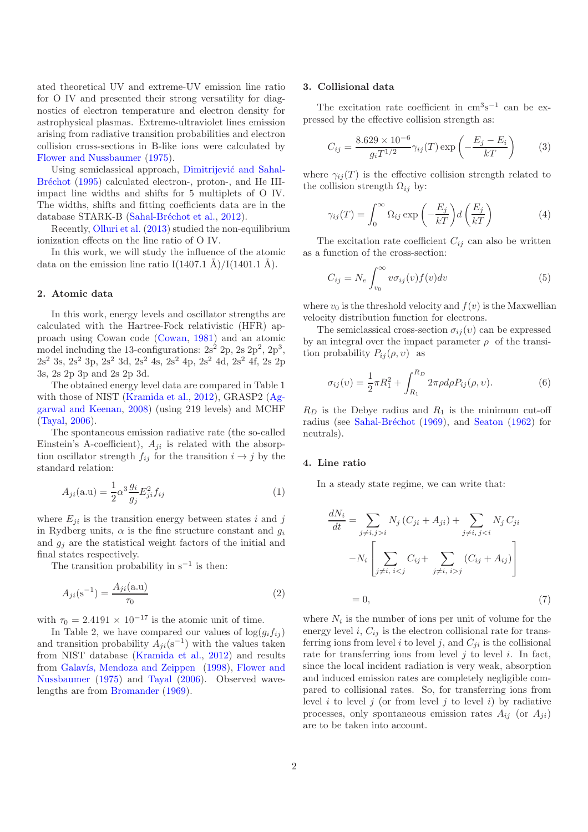ated theoretical UV and extreme-UV emission line ratio for O IV and presented their strong versatility for diagnostics of electron temperature and electron density for astrophysical plasmas. Extreme-ultraviolet lines emission arising from radiative transition probabilities and electron collision cross-sections in B-like ions were calculated by [Flower and Nussbaumer](#page-2-6) [\(1975](#page-2-6)).

Usin[g semiclassical approach,](#page-2-7) Dimitrijević and Sahal-Bréchot [\(1995](#page-2-7)) calculated electron-, proton-, and He IIIimpact line widths and shifts for 5 multiplets of O IV. The widths, shifts and fitting coefficients data are in the database STARK-B (Sahal-Bréchot et al., [2012\)](#page-3-2).

Recently, [Olluri et al.](#page-2-8) [\(2013\)](#page-2-8) studied the non-equilibrium ionization effects on the line ratio of O IV.

In this work, we will study the influence of the atomic data on the emission line ratio I(1407.1 Å)/I(1401.1 Å).

# 2. Atomic data

In this work, energy levels and oscillator strengths are calculated with the Hartree-Fock relativistic (HFR) approach using Cowan code [\(Cowan](#page-2-9), [1981](#page-2-9)) and an atomic model including the 13-configurations:  $2s^2$  2p,  $2s$   $2p^2$ ,  $2p^3$ ,  $2s<sup>2</sup> 3s, 2s<sup>2</sup> 3p, 2s<sup>2</sup> 3d, 2s<sup>2</sup> 4s, 2s<sup>2</sup> 4p, 2s<sup>2</sup> 4d, 2s<sup>2</sup> 4f, 2s 2p$ 3s, 2s 2p 3p and 2s 2p 3d.

The obtained energy level data are compared in Table 1 with those of NIST [\(Kramida et al.,](#page-2-10) [2012](#page-2-10)[\), GRASP2 \(](#page-2-0)Aggarwal and Keenan, [2008\)](#page-2-0) (using 219 levels) and MCHF [\(Tayal](#page-3-3), [2006\)](#page-3-3).

The spontaneous emission radiative rate (the so-called Einstein's A-coefficient),  $A_{ji}$  is related with the absorption oscillator strength  $f_{ij}$  for the transition  $i \rightarrow j$  by the standard relation:

$$
A_{ji}(\mathbf{a}.\mathbf{u}) = \frac{1}{2}\alpha^3 \frac{g_i}{g_j} E_{ji}^2 f_{ij}
$$
\n<sup>(1)</sup>

where  $E_{ji}$  is the transition energy between states i and j in Rydberg units,  $\alpha$  is the fine structure constant and  $g_i$ and  $q_i$  are the statistical weight factors of the initial and final states respectively.

The transition probability in  $s^{-1}$  is then:

$$
A_{ji}(\mathbf{s}^{-1}) = \frac{A_{ji}(\mathbf{a}.\mathbf{u})}{\tau_0} \tag{2}
$$

with  $\tau_0 = 2.4191 \times 10^{-17}$  is the atomic unit of time.

In Table 2, we have compared our values of  $log(g_i f_{ij})$ and transition probability  $A_{ji}(s^{-1})$  with the values taken from NIST database [\(Kramida et al.,](#page-2-10) [2012](#page-2-10)) and results from Galavís, Mendoza and Zeippen [\(1998](#page-2-11)), Flower and Nussbaumer [\(1975](#page-2-6)) and [Tayal](#page-3-3) [\(2006\)](#page-3-3). Observed wavelengths are from [Bromander](#page-2-12) [\(1969](#page-2-12)).

#### 3. Collisional data

The excitation rate coefficient in  $\text{cm}^3\text{s}^{-1}$  can be expressed by the effective collision strength as:

$$
C_{ij} = \frac{8.629 \times 10^{-6}}{g_i T^{1/2}} \gamma_{ij}(T) \exp\left(-\frac{E_j - E_i}{kT}\right) \tag{3}
$$

where  $\gamma_{ij}(T)$  is the effective collision strength related to the collision strength  $\Omega_{ij}$  by:

$$
\gamma_{ij}(T) = \int_0^\infty \Omega_{ij} \exp\left(-\frac{E_j}{kT}\right) d\left(\frac{E_j}{kT}\right) \tag{4}
$$

The excitation rate coefficient  $C_{ij}$  can also be written as a function of the cross-section:

$$
C_{ij} = N_e \int_{v_0}^{\infty} v \sigma_{ij}(v) f(v) dv \tag{5}
$$

where  $v_0$  is the threshold velocity and  $f(v)$  is the Maxwellian velocity distribution function for electrons.

The semiclassical cross-section  $\sigma_{ij}(v)$  can be expressed by an integral over the impact parameter  $\rho$  of the transition probability  $P_{ij}(\rho, v)$  as

$$
\sigma_{ij}(v) = \frac{1}{2}\pi R_1^2 + \int_{R_1}^{R_D} 2\pi \rho d\rho P_{ij}(\rho, v).
$$
 (6)

 $R_D$  is the Debye radius and  $R_1$  is the minimum cut-off radius (see Sahal-Bréchot [\(1969](#page-3-4)), and [Seaton](#page-3-5) [\(1962\)](#page-3-5) for neutrals).

# 4. Line ratio

In a steady state regime, we can write that:

$$
\frac{dN_i}{dt} = \sum_{j \neq i, j > i} N_j (C_{ji} + A_{ji}) + \sum_{j \neq i, j < i} N_j C_{ji}
$$

$$
-N_i \left[ \sum_{j \neq i, i < j} C_{ij} + \sum_{j \neq i, i > j} (C_{ij} + A_{ij}) \right]
$$

$$
= 0, \tag{7}
$$

where  $N_i$  is the number of ions per unit of volume for the energy level i,  $C_{ij}$  is the electron collisional rate for transferring ions from level i to level j, and  $C_{ji}$  is the collisional rate for transferring ions from level  $j$  to level  $i$ . In fact, since the local incident radiation is very weak, absorption and induced emission rates are completely negligible compared to collisional rates. So, for transferring ions from level i to level j (or from level j to level i) by radiative processes, only spontaneous emission rates  $A_{ij}$  (or  $A_{ji}$ ) are to be taken into account.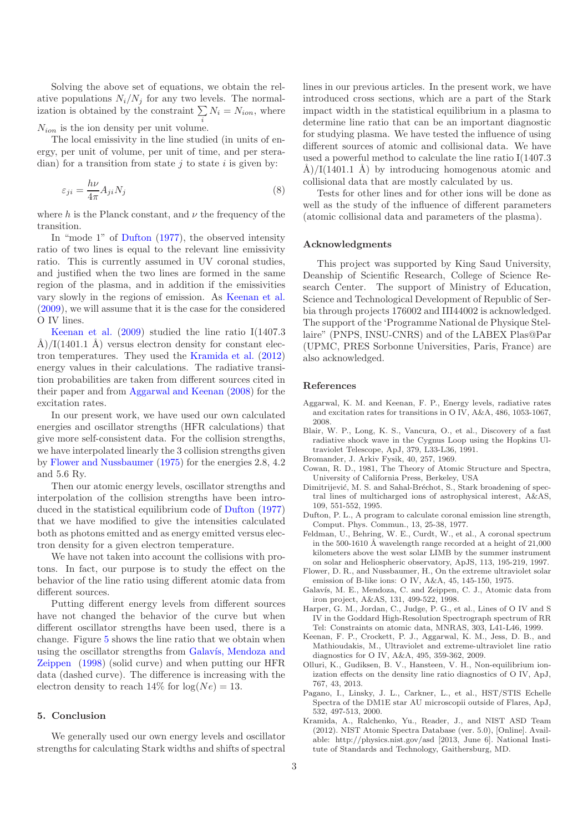Solving the above set of equations, we obtain the relative populations  $N_i/N_j$  for any two levels. The normalization is obtained by the constraint  $\sum N_i = N_{ion}$ , where  $N_{ion}$  is the ion density per unit volume.

The local emissivity in the line studied (in units of energy, per unit of volume, per unit of time, and per steradian) for a transition from state  $j$  to state  $i$  is given by:

$$
\varepsilon_{ji} = \frac{h\nu}{4\pi} A_{ji} N_j \tag{8}
$$

where h is the Planck constant, and  $\nu$  the frequency of the transition.

In "mode 1" of [Dufton](#page-2-13) [\(1977](#page-2-13)), the observed intensity ratio of two lines is equal to the relevant line emissivity ratio. This is currently assumed in UV coronal studies, and justified when the two lines are formed in the same region of the plasma, and in addition if the emissivities vary slowly in the regions of emission. As [Keenan et al.](#page-2-5) [\(2009\)](#page-2-5), we will assume that it is the case for the considered [O IV lines.](#page-2-5)

Keenan et al. [\(2009\)](#page-2-5) studied the line ratio I(1407.3 Å)/I(1401.1 Å) versus electron density for constant electron temperatures. They used the [Kramida et al.](#page-2-10) [\(2012](#page-2-10)) energy values in their calculations. The radiative transition probabilities are taken from different sources cited in their paper and from [Aggarwal and Keenan](#page-2-0) [\(2008](#page-2-0)) for the excitation rates.

In our present work, we have used our own calculated energies and oscillator strengths (HFR calculations) that give more self-consistent data. For the collision strengths, we have interpolated linearly the 3 collision strengths given by [Flower and Nussbaumer](#page-2-6) [\(1975](#page-2-6)) for the energies 2.8, 4.2 and 5.6 Ry.

Then our atomic energy levels, oscillator strengths and interpolation of the collision strengths have been introduced in the statistical equilibrium code of [Dufton](#page-2-13) [\(1977](#page-2-13)) that we have modified to give the intensities calculated both as photons emitted and as energy emitted versus electron density for a given electron temperature.

We have not taken into account the collisions with protons. In fact, our purpose is to study the effect on the behavior of the line ratio using different atomic data from different sources.

Putting different energy levels from different sources have not changed the behavior of the curve but when different oscillator strengths have been used, there is a change. Figure [5](#page-4-0) shows the line ratio that we obtain when using th[e oscillator strengths from](#page-2-11) Galavís, Mendoza and Zeippen [\(1998](#page-2-11)) (solid curve) and when putting our HFR data (dashed curve). The difference is increasing with the electron density to reach  $14\%$  for  $log(Ne) = 13$ .

# 5. Conclusion

We generally used our own energy levels and oscillator strengths for calculating Stark widths and shifts of spectral

lines in our previous articles. In the present work, we have introduced cross sections, which are a part of the Stark impact width in the statistical equilibrium in a plasma to determine line ratio that can be an important diagnostic for studying plasma. We have tested the influence of using different sources of atomic and collisional data. We have used a powerful method to calculate the line ratio I(1407.3 Å)/I(1401.1 Å) by introducing homogenous atomic and collisional data that are mostly calculated by us.

Tests for other lines and for other ions will be done as well as the study of the influence of different parameters (atomic collisional data and parameters of the plasma).

# Acknowledgments

This project was supported by King Saud University, Deanship of Scientific Research, College of Science Research Center. The support of Ministry of Education, Science and Technological Development of Republic of Serbia through projects 176002 and III44002 is acknowledged. The support of the 'Programme National de Physique Stellaire" (PNPS, INSU-CNRS) and of the LABEX Plas@Par (UPMC, PRES Sorbonne Universities, Paris, France) are also acknowledged.

# References

- <span id="page-2-0"></span>Aggarwal, K. M. and Keenan, F. P., Energy levels, radiative rates and excitation rates for transitions in O IV, A&A, 486, 1053-1067, 2008.
- <span id="page-2-3"></span>Blair, W. P., Long, K. S., Vancura, O., et al., Discovery of a fast radiative shock wave in the Cygnus Loop using the Hopkins Ultraviolet Telescope, ApJ, 379, L33-L36, 1991.
- <span id="page-2-12"></span>Bromander, J. Arkiv Fysik, 40, 257, 1969.
- <span id="page-2-9"></span>Cowan, R. D., 1981, The Theory of Atomic Structure and Spectra, University of California Press, Berkeley, USA
- <span id="page-2-7"></span>Dimitrijević, M. S. and Sahal-Bréchot, S., Stark broadening of spectral lines of multicharged ions of astrophysical interest, A&AS, 109, 551-552, 1995.
- <span id="page-2-13"></span>Dufton, P. L., A program to calculate coronal emission line strength, Comput. Phys. Commun., 13, 25-38, 1977.
- <span id="page-2-1"></span>Feldman, U., Behring, W. E., Curdt, W., et al., A coronal spectrum in the 500-1610 Å wavelength range recorded at a height of  $21,000$ kilometers above the west solar LIMB by the summer instrument on solar and Heliospheric observatory, ApJS, 113, 195-219, 1997.
- <span id="page-2-6"></span>Flower, D. R., and Nussbaumer, H., On the extreme ultraviolet solar emission of B-like ions: O IV, A&A, 45, 145-150, 1975.
- <span id="page-2-11"></span>Galavís, M. E., Mendoza, C. and Zeippen, C. J., Atomic data from iron project, A&AS, 131, 499-522, 1998.
- <span id="page-2-2"></span>Harper, G. M., Jordan, C., Judge, P. G., et al., Lines of O IV and S IV in the Goddard High-Resolution Spectrograph spectrum of RR Tel: Constraints on atomic data, MNRAS, 303, L41-L46, 1999.
- <span id="page-2-5"></span>Keenan, F. P., Crockett, P. J., Aggarwal, K. M., Jess, D. B., and Mathioudakis, M., Ultraviolet and extreme-ultraviolet line ratio diagnostics for O IV, A&A, 495, 359-362, 2009.
- <span id="page-2-8"></span>Olluri, K., Gudiksen, B. V., Hansteen, V. H., Non-equilibrium ionization effects on the density line ratio diagnostics of O IV, ApJ, 767, 43, 2013.
- <span id="page-2-4"></span>Pagano, I., Linsky, J. L., Carkner, L., et al., HST/STIS Echelle Spectra of the DM1E star AU microscopii outside of Flares, ApJ, 532, 497-513, 2000.
- <span id="page-2-10"></span>Kramida, A., Ralchenko, Yu., Reader, J., and NIST ASD Team (2012). NIST Atomic Spectra Database (ver. 5.0), [Online]. Available: http://physics.nist.gov/asd [2013, June 6]. National Institute of Standards and Technology, Gaithersburg, MD.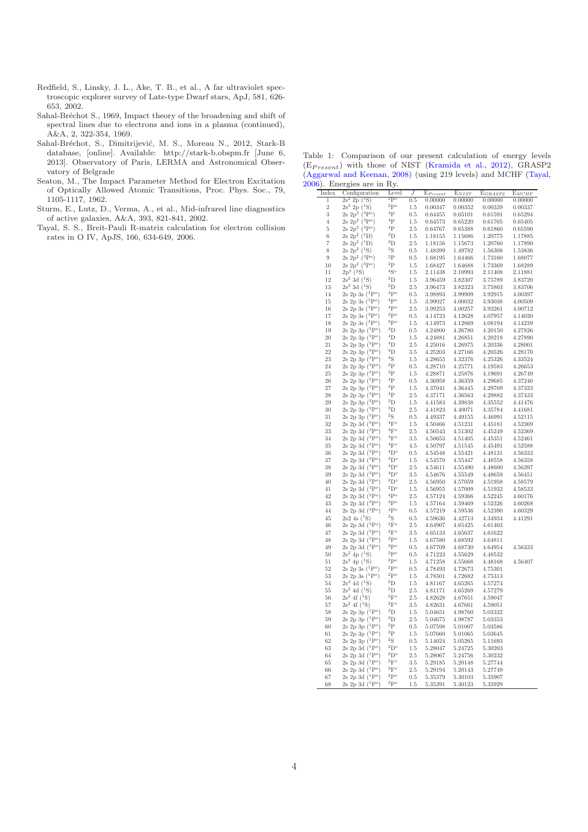- <span id="page-3-0"></span>Redfield, S., Linsky, J. L., Ake, T. B., et al., A far ultraviolet spectroscopic explorer survey of Late-type Dwarf stars, ApJ, 581, 626- 653, 2002.
- <span id="page-3-4"></span>Sahal-Bréchot S., 1969, Impact theory of the broadening and shift of spectral lines due to electrons and ions in a plasma (continued), A&A, 2, 322-354, 1969.
- <span id="page-3-2"></span>Sahal-Bréchot, S., Dimitrijević, M. S., Moreau N., 2012, Stark-B database, [online]. Available: http://stark-b.obspm.fr [June 6, 2013]. Observatory of Paris, LERMA and Astronomical Observatory of Belgrade
- <span id="page-3-5"></span>Seaton, M., The Impact Parameter Method for Electron Excitation of Optically Allowed Atomic Transitions, Proc. Phys. Soc., 79, 1105-1117, 1962.
- <span id="page-3-1"></span>Sturm, E., Lutz, D., Verma, A., et al., Mid-infrared line diagnostics of active galaxies, A&A, 393, 821-841, 2002.
- <span id="page-3-3"></span>Tayal, S. S., Breit-Pauli R-matrix calculation for electron collision rates in O IV, ApJS, 166, 634-649, 2006.

Table 1: Comparison of our present calculation of energy levels  $(E_{Present})$  with those of NIST [\(Kramida et al.](#page-2-10), [2012](#page-2-10)), GRASP2 [\(Aggarwal and Keenan,](#page-2-0) [2008\)](#page-2-0) (using 219 levels) and MCHF [\(Tayal](#page-3-3), [2006](#page-3-3)). Energies are in Ry.

| Index          | Configuration                                                    | Level                              | $\cal J$       | $E_{Present}$      | $E_{NIST}$         | $\mathrm{E}_{GRASP2}$ | $E_{MCHF}$         |
|----------------|------------------------------------------------------------------|------------------------------------|----------------|--------------------|--------------------|-----------------------|--------------------|
| 1              | $2s^2$ 2p $(^1S)$                                                | $^{2}P^{o}$                        | 0.5            | 0.00000            | 0.00000            | 0.00000               | 0.00000            |
| $\overline{2}$ | $2s^2$ 2p $(^{1}S)$                                              | $^2\mathrm{P}^o$                   | 1.5            | 0.00347            | 0.00352            | 0.00339               | 0.00337            |
| 3              | $2s\ 2p^2\ (3P^o)$                                               | $^4{\rm P}$                        | 0.5            | 0.64455            | 0.65101            | 0.61591               | 0.65294            |
| $\overline{4}$ | $2s\ 2p^2\ (3P^o)$                                               | 4P                                 | 1.5            | 0.64573            | 0.65220            | 0.61705               | 0.65405            |
| 5              | $2s\ 2p^2\ ({}^{3}P^o)$                                          | ${}^4P$                            | $2.5\,$        | 0.64767            | 0.65388            | 0.61860               | 0.65590            |
| 6              | $2s\ 2p^2\ (^1D)$                                                | ${}^{2}D$                          | 1.5            | 1.18155            | 1.15686            | 1.20775               | 1.17885            |
| 7              | $2s\ 2p^2\ ({}^1D)$                                              | $^2\mathrm{D}$                     | 2.5            | 1.18156            | 1.15673            | 1.20760               | 1.17890            |
| 8              | $2s\ 2p^2\ ({}^1S)$                                              | $^2\mathrm{S}$                     | 0.5            | 1.48399            | 1.49782            | 1.56308               | 1.53836            |
| 9              | $2s \; 2p^2 \; ({}^{3}P^{o})$                                    | $^{2}P$                            | $0.5\,$        | 1.68195            | 1.64466            | 1.73160               | 1.68077            |
| 10             | 2s $2p^2 ({}^{3}P^o)$                                            | $^{2}P$                            | 1.5            | 1.68427            | 1.64688            | 1.73369               | 1.68289            |
| 11             | $2p^3$ $(^2S)$                                                   | ${}^4S^o$                          | 1.5            | 2.11438            | 2.10993            | 2.11408               | 2.11881            |
| 12             | $2s^2$ 3d $(^{1}S)$                                              | $^2\mathrm{D}$                     | 1.5            | 3.96459            | 3.82307            | 3.75789               | 3.83720            |
| 13             | $2s^2$ 3d $($ <sup>1</sup> S)                                    | $^2\mathrm{D}$<br>$^4\mathrm{P}^o$ | 2.5            | 3.96473            | 3.82323            | 3.75803               | 3.83706            |
| 14             | $2s 2p 3s ({}^{3}P^{o})$                                         | $^4\mathrm{P}^o$                   | 0.5            | 3.98893            | 3.99909            | 3.92915               | 4.00397            |
| 15             | 2s 2p 3s $(3P^o)$                                                | 4p                                 | 1.5            | 3.99027            | 4.00032            | 3.93038               | 4.00509            |
| 16<br>17       | $2s$ 2<br>p $3s\ (^3\mathrm{P}^o)$<br>2s 2p 3s $(^{3}P^{o})$     | $^2\mathrm{P}^o$                   | $2.5\,$<br>0.5 | 3.99253<br>4.14723 | 4.00257<br>4.12628 | 3.93261<br>4.07957    | 4.00712<br>4.14020 |
| 18             | $2s$ 2<br>p $3s$ $\dot{(^3\mathrm{P}^o)}$                        | $^2\mathrm{P}^o$                   | 1.5            | 4.14973            | 4.12869            | 4.08194               | 4.14239            |
| 19             | 2s 2p 3p $\rm \left( ^3P^o \right)$                              | $\rm ^4D$                          | 0.5            | 4.24800            | 4.26780            | 4.20150               | 4.27826            |
| 20             | 2s 2p 3p $\rm (^3P^o)$                                           | ${}^4D$                            | 1.5            | 4.24881            | 4.26851            | 4.20218               | 4.27890            |
| 21             | 2s 2p 3p $\vec{({}^3P^o)}$                                       | ${}^4D$                            | $2.5\,$        | 4.25016            | 4.26975            | 4.20336               | 4.28001            |
| 22             | 2s 2p 3p (3P <sup>o</sup> )                                      | ${}^4D$                            | 3.5            | 4.25203            | 4.27166            | 4.20526               | 4.28170            |
| 23             | 2s 2p 3p $\vec{({}^3P^o)}$                                       | $^4\mathrm{S}$                     | 1.5            | 4.28655            | 4.32376            | 4.25326               | 4.33524            |
| 24             | $2s$ 2<br>p $3p$ $\left( ^3P^o \right)$                          | $^{2}P$                            | $\rm 0.5$      | 4.28710            | 4.25771            | 4.19583               | 4.26653            |
| 25             | 2s 2p $3p(3P^o)$                                                 | $^{2}P$                            | 1.5            | 4.28871            | 4.25876            | 4.19691               | 4.26749            |
| 26             | 2s 2p 3p $(3P^o)$                                                | ${}^4P$                            | 0.5            | 4.36958            | 4.36359            | 4.29685               | 4.37240            |
| 27             | 2s 2p 3p $(3P^o)$                                                | $\rm ^4P$                          | $1.5\,$        | 4.37041            | 4.36445            | 4.29769               | 4.37323            |
| $\bf 28$       | $2s$ 2<br>p $3p\ (^3\mathrm{P}^o)$                               | 4P                                 | $2.5\,$        | 4.37171            | 4.36563            | 4.29882               | 4.37433            |
| 29             | 2s 2p 3p $(3P^o)$                                                | $^2\mathrm{D}$                     | 1.5            | 4.41583            | 4.39838            | 4.35552               | 4.41476            |
| 30             | 2s 2p 3p (3P <sup>o</sup> )                                      | $^{2}D$                            | $2.5\,$        | 4.41823            | 4.40071            | 4.35784               | 4.41681            |
| 31             | 2s 2p 3p $(3P^o)$                                                | ${}^{2}S$                          | 0.5            | 4.49337            | 4.49155            | 4.46991               | 4.52115            |
| 32             | 2s 2p 3d $\overline{(^3\mathrm{P}^o)}$                           | ${}^4F^o$                          | 1.5            | 4.50466            | 4.51231            | 4.45181               | 4.52369            |
| 33             | 2s 2p 3d $(3P^o)$                                                | 4F <sup>o</sup>                    | $2.5\,$        | 4.50543            | $4.51302\,$        | 4.45249               | 4.52369            |
| 34             | $2s\ 2p\ 3d\ (3Po)$                                              | $4F^o$                             | 3.5            | 4.50653            | 4.51405            | 4.45351               | 4.52461            |
| 35             | 2s 2p 3d $(^3P^o)$                                               | $^4\mathrm{F}^o$                   | 4.5            | 4.50797            | 4.51545            | 4.45491               | 4.52588            |
| 36             | $2s$ 2<br>p $3d$ $(^3{\rm P}^o)$                                 | ${}^4D^o$                          | $\rm 0.5$      | 4.54548            | 4.55421            | 4.48131               | 4.56333            |
| 37             | 2s 2p 3d $\dot{(^3}P^o)$                                         | ${}^4\mathrm{D}^o$                 | 1.5            | 4.54570            | 4.55447            | 4.48558               | 4.56358            |
| 38             | 2s 2p 3d $(3P^o)$                                                | ${}^4D^o$                          | 2.5            | 4.54611            | 4.55490            | 4.48600               | 4.56397            |
| 39             | 2s 2p 3d $(^3P^o)$                                               | ${}^4D^o$                          | $3.5\,$        | 4.54676            | 4.55549            | 4.48659               | 4.56451            |
| 40             | 2s 2p 3d $(^3P^o)$                                               | $^{2}D^{o}$                        | $2.5\,$        | 4.56950            | 4.57059            | 4.51958               | 4.58579            |
| 41             | 2s 2p 3d $(^3P^o)$                                               | $^2\mathrm{D}^o$<br>${}^4P^o$      | $1.5\,$        | 4.56955            | 4.57009            | 4.51932               | 4.58533            |
| 42             | 2s 2p 3d $(^3P^o)$                                               | 4P <sub>o</sub>                    | 2.5            | 4.57124            | 4.59366            | 4.52245               | 4.60176            |
| 43             | $2s$ 2<br>p $3d$ $( ^3\mathrm{P}^o)$                             | $^4\mathrm{P}^o$                   | 1.5            | 4.57164            | 4.59469            | 4.52326               | 4.60268            |
| 44<br>45       | $2s$ 2<br>p $3d$ $(^3{\rm P}^o)$                                 | $^{2}S$                            | 0.5            | 4.57219            | 4.59536            | 4.52390               | 4.60329            |
| 46             | $2s2 4s$ $(^1S)$<br>$2s$ 2p $3d~(^3P^o)$                         | $2F^o$                             | 0.5<br>$2.5\,$ | 4.59636<br>4.64907 | 4.42713<br>4.65425 | 4.34934<br>4.61403    | 4.41291            |
| 47             | $2s$ 2<br>p $3d$ $\bigl( ^3P^o\bigr)$                            | ${}^{2}F^{o}$                      | $3.5\,$        | 4.65133            | 4.65637            | 4.61622               |                    |
| 48             | $2s$ 2<br>p $3d$ $(^3{\rm P}^o)$                                 | $^2\mathrm{P}^o$                   | 1.5            | 4.67580            | 4.68592            | 4.64811               |                    |
| 49             | 2s 2p 3d $(^3P^o)$                                               | $^{\rm 2Po}$                       | $0.5\,$        | 4.67709            | 4.68730            | 4.64954               | 4.56333            |
| 50             | $2s^2$ 4p $(^{1}S)$                                              | $^2\mathrm{P}^o$                   | 0.5            | 4.71223            | 4.55629            | 4.48532               |                    |
| 51             | $2s^2$ 4p $(^{1}S)$                                              | 2p                                 | 1.5            | 4.71258            | 4.55668            | 4.48168               | 4.56407            |
| 52             | 2s 2p 3s $(^1P^o)$                                               | 2p                                 | 0.5            | 4.78493            | 4.72673            | 4.75301               |                    |
| 53             | 2s 2p 3s $(^{1}P^{o})$                                           | $^{2}P^{o}$                        | $1.5\,$        | 4.78501            | 4.72682            | 4.75313               |                    |
| 54             | $2s^2$ 4d ( <sup>1</sup> S)                                      | $^{2}D$                            | 1.5            | 4.81167            | 4.65265            | 4.57274               |                    |
| 55             | $2s^2$ 4d $(^1S)$                                                | $^{2}D$                            | $2.5\,$        | 4.81171            | 4.65269            | 4.57279               |                    |
| 56             | $2s^2$ 4f ( <sup>1</sup> S)                                      | $^2\mathrm{F}^o$                   | 2.5            | 4.82628            | 4.67651            | 4.59047               |                    |
| 57             | $2s^2$ 4f $(^1S)$                                                | $2F^o$                             | 3.5            | 4.82631            | 4.67661            | 4.59051               |                    |
| 58             | $2s$ 2<br>p $3p$ $(^1\mathrm{P}^o)$                              | $^{2}D$                            | 1.5            | 5.04651            | 4.98760            | 5.03332               |                    |
| 59             | $2s$ 2<br>p $3p$ $(^1\mathrm{P}^o)$                              | $^2\mathrm{D}$                     | $2.5\,$        | 5.04675            | 4.98787            | 5.03353               |                    |
| 60             | $2s$ 2<br>p $3p$ $(^1\mathrm{P}^o)$                              | $^{2}P$                            | 0.5            | 5.07598            | 5.01007            | 5.03586               |                    |
| 61             | $2s$ 2<br>p $3p$ $(^1\mathrm{P}^o)$                              | $^{2}P$                            | 1.5            | 5.07660            | 5.01065            | 5.03645               |                    |
| 62             | 2s 2p 3p $(1P^o)$                                                | ${}^{2}S$                          | 0.5            | 5.14024            | 5.05265            | 5.11693               |                    |
| 63             | $2s$ 2<br>p $3d$ $(^1\mathrm{P}^o)$                              | $^{2}D^{o}$                        | 1.5            | 5.28047            | 5.24725            | 5.30203               |                    |
| 64             | $2s$ 2<br>p $3d$ $(^1\mathrm{P}^o)$                              | $^{2}D^{o}$                        | $2.5\,$        | 5.28067            | 5.24756            | 5.30232               |                    |
| 65             | 2s 2p 3d $(^1P^o)$                                               | $^2\mathrm{F}^o$                   | $3.5\,$        | 5.29185            | 5.20148            | 5.27744               |                    |
| 66             | $2s \; 2p \; 3d \; (^1P^o)$                                      | ${}^{2}\mathrm{F}^{o}$             | 2.5            | 5.29194            | 5.20143            | 5.27749               |                    |
| 67             | $2s$ 2<br>p $3d$ $(^1\mathrm{P}^o)$<br>$2s$ 2p 3d $(1P^{\circ})$ | $^{2}P^{o}$<br>$^2\mathrm{P}^o$    | 0.5            | 5.35379            | 5.30103            | 5.35907               |                    |
| 68             |                                                                  |                                    | $1.5\,$        | 5.35391            | 5.30123            | 5.35929               |                    |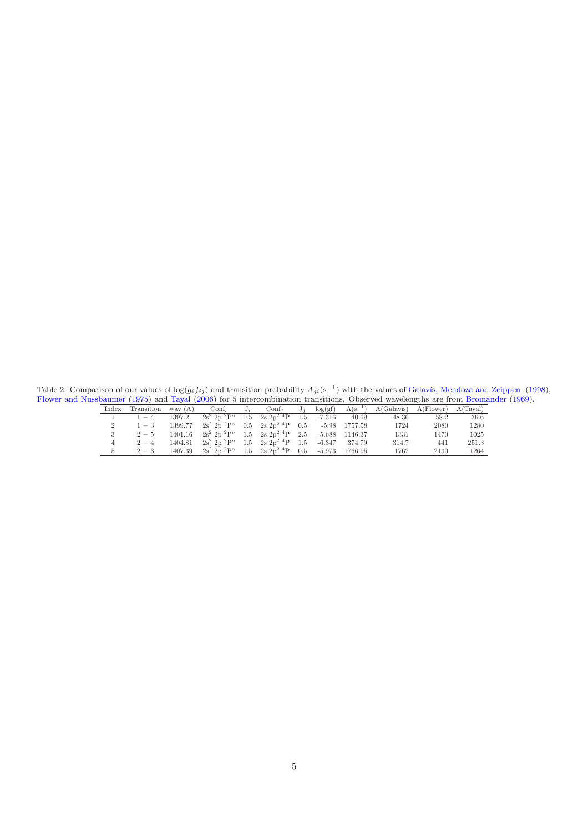Table 2: Comparison of our values of  $log(g_i f_{ij})$  and transition probability  $A_{ji}(s^{-1})$  with the values of Galavís, Mendoza and Zeippen [\(1998\)](#page-2-11), [Flower and Nussbaumer](#page-2-6) [\(1975](#page-2-6)) and [Tayal](#page-3-3) [\(2006](#page-3-3)) for 5 intercombination transitions. Observed wavelengths are from [Bromander](#page-2-12) [\(1969\)](#page-2-12).

<span id="page-4-0"></span>

| Index Transition way $(A)$ |         |                                                                                                |  |  | $\text{Conf}_i$ $J_i$ $\text{Conf}_f$ $J_f$ $\log(gt)$ $A(s^{-1})$ $A(\text{Galavis})$ $A(\text{Flower})$ $A(\text{Taylor})$ |      |        |
|----------------------------|---------|------------------------------------------------------------------------------------------------|--|--|------------------------------------------------------------------------------------------------------------------------------|------|--------|
| $1 - 4$                    |         | $1397.2$ $2s^2$ $2p$ $^2P^{\circ}$ $0.5$ $2s$ $2p^2$ $^4P$ $1.5$ $-7.316$ $40.69$              |  |  | 48.36                                                                                                                        | 58.2 | - 36.6 |
| $1 - 3$                    |         | $1399.77$ $2s^2$ $2p$ ${}^{2}P^{\circ}$ $0.5$ $2s$ $2p^2$ ${}^{4}P$ $0.5$ $-5.98$ $1757.58$    |  |  | 1724                                                                                                                         | 2080 | 1280   |
| $2-5$                      |         | $1401.16$ $2s^2$ $2p$ $^2P^o$ $1.5$ $2s$ $2p^2$ $^4P$ $2.5$ $-5.688$ $1146.37$                 |  |  | 1331                                                                                                                         | 1470 | 1025   |
| $2 - 4$                    |         | $1404.81$ $2s^2$ $2p^2$ $P^o$ $1.5$ $2s$ $2p^2$ $P^1$ $1.5$ $-6.347$ $374.79$                  |  |  | 314.7                                                                                                                        | 441  | 251.3  |
| $2 - 3$                    | 1407.39 | $2s^2$ 2p <sup>2</sup> P <sup>o</sup> 1.5 2s 2p <sup>2</sup> <sup>4</sup> P 0.5 -5.973 1766.95 |  |  | 1762                                                                                                                         | 2130 | 1264   |